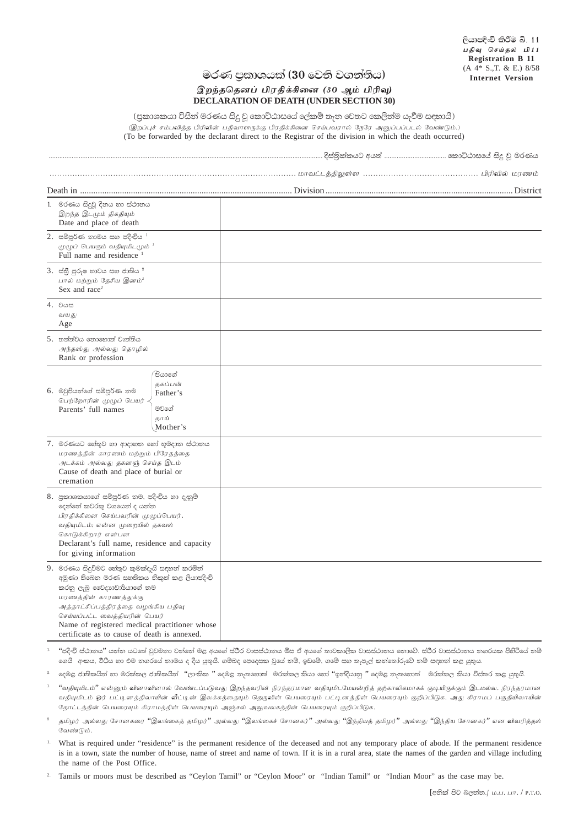## මරණ පුකාශයක් (30 වෙනි වගන්තිය)

## இறந்ததெனப் பிரதிக்கினை (30 ஆம் பிரிவு) **DECLARATION OF DEATH (UNDER SECTION 30)**

(පුකාශකයා විසින් මරණය සිදු වූ කොට්ඨාසයේ ලේකම් තැන වෙතට කෙලින්ම යැවීම සඳහායි) .<br>இறப்புச் சம்பவித்த பிரிவின் பதிவாளருக்கு பிரதிக்கினை செய்பவரால் நேரே அனுப்பப்படல் வேண்டும்.) (To be forwarded by the declarant direct to the Registrar of the division in which the death occurred)

| 1. මරණය සිදුවූ දිනය හා ස්ථානය<br>இறந்த இடமும் திகதியும்<br>Date and place of death                                                                                                                                                                                                                                           |  |
|------------------------------------------------------------------------------------------------------------------------------------------------------------------------------------------------------------------------------------------------------------------------------------------------------------------------------|--|
| $2.$ සම්පූර්ණ නාමය සහ පදිංචිය $^1$<br>முழுப் பெயரும் வதியுமிடமும் $^1$<br>Full name and residence 1                                                                                                                                                                                                                          |  |
| $3.$ ස්තී පුරුෂ භාවය සහ ජාතිය $^2$<br>பால் மற்றும் தேசிய இனம் $^2$<br>Sex and race <sup>2</sup>                                                                                                                                                                                                                              |  |
| 4. ರಿಡಿ<br>வயது<br>Age                                                                                                                                                                                                                                                                                                       |  |
| 5. තත්ත්වය තොහොත් වෘත්තිය<br>அந்தஸ்து அல்லது தொழில்<br>Rank or profession                                                                                                                                                                                                                                                    |  |
| ිපියාගේ<br>தகப்பன்<br>6. මවුපියත්ගේ සම්පූර්ණ තම<br>Father's<br>பெற்றோரின் முழுப் பெயர்<br>මවගේ<br>Parents' full names<br>தாய்<br>Mother's                                                                                                                                                                                    |  |
| 7. මරණයට හේතුව හා ආදාහත හෝ භුමදාත ස්ථාතය<br>மரணத்தின் காரணம் மற்றும் பிரேதத்தை<br>அடக்கம் அல்லது தகனஞ் செய்த இடம்<br>Cause of death and place of burial or<br>cremation                                                                                                                                                      |  |
| 8. පුකාශකයාගේ සම්පූර්ණ තම, පදිංචිය හා දැනුම්<br>දෙන්නේ කවරකු වශයෙන් ද යන්න<br>பிரதிக்கினை செய்பவரின் முழுப்பெயர்,<br>வதியுமிடம்; என்ன முறையில் தகவல்<br>கொடுக்கிறார் என்பன<br>Declarant's full name, residence and capacity<br>for giving information                                                                        |  |
| 9. මරණය සිදුවීමට හේතුව කුමක්දැයි සඳහන් කරමින්<br>අමුණා තිබෙන මරණ සහතිකය තිකුත් කළ ලියාපදිංචි<br>කරනු ලැබූ වෛදාගචාර්යාගේ තම<br>மரணத்தின் காரணத்துக்கு<br>அத்தாட்சிப்பத்திரத்தை வழங்கிய பதிவு<br>செய்யப்பட்ட வைத்தியரின் பெயர்<br>Name of registered medical practitioner whose<br>certificate as to cause of death is annexed |  |

''පදි-චි ස්ථානය'' යන්ත යටතේ වුවමනා වන්නේ මළ අයගේ ස්ථිර වාසස්ථානය මිස ඒ අයගේ කාවකාලික වාසස්ථානය නොවේ. ස්ථිර වාසස්ථානය නගරයක පිහිටියේ නම් ගෙයි අංකය, වීථිය හා එම තගරයේ නාමය ද දිය යුතුයි. ගම්බද පෙදෙසක වුයේ නම්, ඉඩමේ, ගමේ සහ තැපැල් කන්තෝරුවේ නම් සඳහන් කළ යුතුය.

දෙමළ ජාතිකයින් හා මරක්කල ජාතිකයින් ''ලාංකික '' දෙමළ තැතහොත් මරක්කල කියා හෝ ''ඉන්දියානු '' දෙමළ තැතහොත් මරක්කල කියා විස්තර කළ යුතුයි.

- ''வதியுமிடம்'' என்னும் வினாவினால் வேண்டப்படுவது இறந்தவரின் நிரந்தரமான வதியுமிடமேயன்றித் தற்காலிகமாகக் குடியிருக்கும் இடமல்ல. நிரந்தரமான வதியுமிடம் ஓர் பட்டினத்திலாயின் வீட்டின் இலக்கத்தையும் தெருவின் பெயரையும் பட்டினத்தின் பெயரையும் குறிப்பிடுக. அது கிராமப் பகுதியிலாயின் தோட்டத்தின் பெயரையும் கிராமத்தின் பெயரையும் அஞ்சல் அலுவலகத்தின் பெயரையும் குறிப்பிடுக.
- தமிழர் அல்லது சோனகரை ''இலங்கைத் தமிழர்'' அல்லது ''இலங்கைச் சோனகர்'' அல்லது ''இந்தியத் தமிழர்'' அல்லது ''இந்திய சோனகர்'' என விவரித்தல் வேண்டும்
- What is required under "residence" is the permanent residence of the deceased and not any temporary place of abode. If the permanent residence is in a town, state the number of house, name of street and name of town. If it is in a rural area, state the names of the garden and village including the name of the Post Office.
- <sup>2</sup>. Tamils or moors must be described as "Ceylon Tamil" or "Ceylon Moor" or "Indian Tamil" or "Indian Moor" as the case may be.